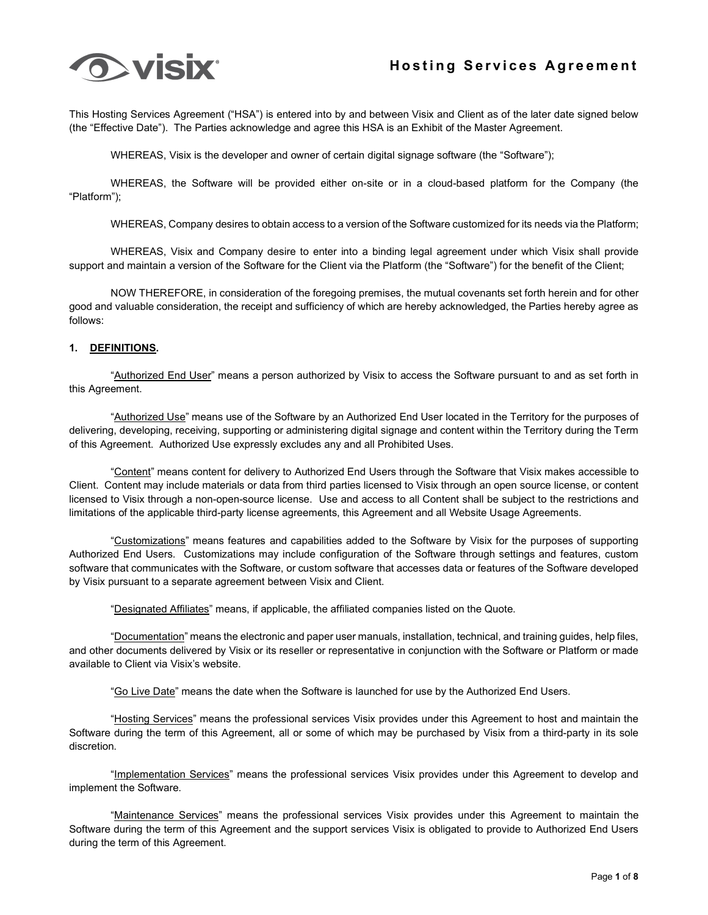

This Hosting Services Agreement ("HSA") is entered into by and between Visix and Client as of the later date signed below (the "Effective Date"). The Parties acknowledge and agree this HSA is an Exhibit of the Master Agreement.

WHEREAS, Visix is the developer and owner of certain digital signage software (the "Software");

WHEREAS, the Software will be provided either on-site or in a cloud-based platform for the Company (the "Platform");

WHEREAS, Company desires to obtain access to a version of the Software customized for its needs via the Platform;

WHEREAS, Visix and Company desire to enter into a binding legal agreement under which Visix shall provide support and maintain a version of the Software for the Client via the Platform (the "Software") for the benefit of the Client;

NOW THEREFORE, in consideration of the foregoing premises, the mutual covenants set forth herein and for other good and valuable consideration, the receipt and sufficiency of which are hereby acknowledged, the Parties hereby agree as follows:

#### **1. DEFINITIONS.**

"Authorized End User" means a person authorized by Visix to access the Software pursuant to and as set forth in this Agreement.

"Authorized Use" means use of the Software by an Authorized End User located in the Territory for the purposes of delivering, developing, receiving, supporting or administering digital signage and content within the Territory during the Term of this Agreement. Authorized Use expressly excludes any and all Prohibited Uses.

"Content" means content for delivery to Authorized End Users through the Software that Visix makes accessible to Client. Content may include materials or data from third parties licensed to Visix through an open source license, or content licensed to Visix through a non-open-source license. Use and access to all Content shall be subject to the restrictions and limitations of the applicable third-party license agreements, this Agreement and all Website Usage Agreements.

"Customizations" means features and capabilities added to the Software by Visix for the purposes of supporting Authorized End Users. Customizations may include configuration of the Software through settings and features, custom software that communicates with the Software, or custom software that accesses data or features of the Software developed by Visix pursuant to a separate agreement between Visix and Client.

"Designated Affiliates" means, if applicable, the affiliated companies listed on the Quote.

"Documentation" means the electronic and paper user manuals, installation, technical, and training guides, help files, and other documents delivered by Visix or its reseller or representative in conjunction with the Software or Platform or made available to Client via Visix's website.

"Go Live Date" means the date when the Software is launched for use by the Authorized End Users.

"Hosting Services" means the professional services Visix provides under this Agreement to host and maintain the Software during the term of this Agreement, all or some of which may be purchased by Visix from a third-party in its sole discretion.

"Implementation Services" means the professional services Visix provides under this Agreement to develop and implement the Software.

"Maintenance Services" means the professional services Visix provides under this Agreement to maintain the Software during the term of this Agreement and the support services Visix is obligated to provide to Authorized End Users during the term of this Agreement.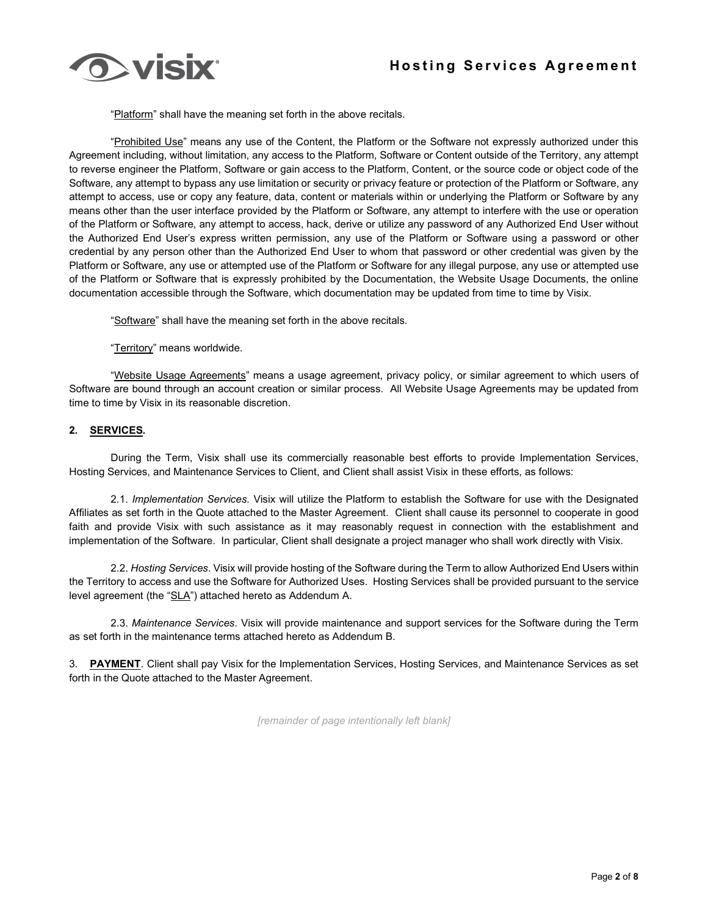

"Platform" shall have the meaning set forth in the above recitals.

"Prohibited Use" means any use of the Content, the Platform or the Software not expressly authorized under this Agreement including, without limitation, any access to the Platform, Software or Content outside of the Territory, any attempt to reverse engineer the Platform, Software or gain access to the Platform, Content, or the source code or object code of the Software, any attempt to bypass any use limitation or security or privacy feature or protection of the Platform or Software, any attempt to access, use or copy any feature, data, content or materials within or underlying the Platform or Software by any means other than the user interface provided by the Platform or Software, any attempt to interfere with the use or operation of the Platform or Software, any attempt to access, hack, derive or utilize any password of any Authorized End User without the Authorized End User's express written permission, any use of the Platform or Software using a password or other credential by any person other than the Authorized End User to whom that password or other credential was given by the Platform or Software, any use or attempted use of the Platform or Software for any illegal purpose, any use or attempted use of the Platform or Software that is expressly prohibited by the Documentation, the Website Usage Documents, the online documentation accessible through the Software, which documentation may be updated from time to time by Visix.

"Software" shall have the meaning set forth in the above recitals.

"Territory" means worldwide.

"Website Usage Agreements" means a usage agreement, privacy policy, or similar agreement to which users of Software are bound through an account creation or similar process. All Website Usage Agreements may be updated from time to time by Visix in its reasonable discretion.

#### **2. SERVICES.**

During the Term, Visix shall use its commercially reasonable best efforts to provide Implementation Services, Hosting Services, and Maintenance Services to Client, and Client shall assist Visix in these efforts, as follows:

2.1. *Implementation Services*. Visix will utilize the Platform to establish the Software for use with the Designated Affiliates as set forth in the Quote attached to the Master Agreement. Client shall cause its personnel to cooperate in good faith and provide Visix with such assistance as it may reasonably request in connection with the establishment and implementation of the Software. In particular, Client shall designate a project manager who shall work directly with Visix.

2.2. *Hosting Services*. Visix will provide hosting of the Software during the Term to allow Authorized End Users within the Territory to access and use the Software for Authorized Uses. Hosting Services shall be provided pursuant to the service level agreement (the "SLA") attached hereto as Addendum A.

2.3. *Maintenance Services*. Visix will provide maintenance and support services for the Software during the Term as set forth in the maintenance terms attached hereto as Addendum B.

3. **PAYMENT**. Client shall pay Visix for the Implementation Services, Hosting Services, and Maintenance Services as set forth in the Quote attached to the Master Agreement.

*[remainder of page intentionally left blank]*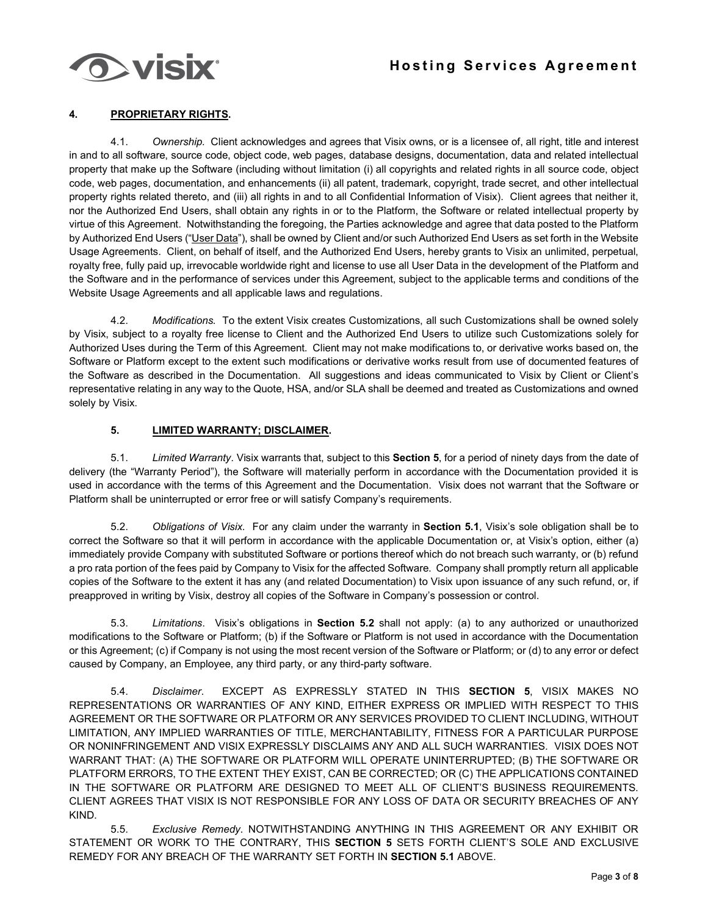

## **4. PROPRIETARY RIGHTS.**

4.1. *Ownership.* Client acknowledges and agrees that Visix owns, or is a licensee of, all right, title and interest in and to all software, source code, object code, web pages, database designs, documentation, data and related intellectual property that make up the Software (including without limitation (i) all copyrights and related rights in all source code, object code, web pages, documentation, and enhancements (ii) all patent, trademark, copyright, trade secret, and other intellectual property rights related thereto, and (iii) all rights in and to all Confidential Information of Visix). Client agrees that neither it, nor the Authorized End Users, shall obtain any rights in or to the Platform, the Software or related intellectual property by virtue of this Agreement. Notwithstanding the foregoing, the Parties acknowledge and agree that data posted to the Platform by Authorized End Users ("User Data"), shall be owned by Client and/or such Authorized End Users as set forth in the Website Usage Agreements. Client, on behalf of itself, and the Authorized End Users, hereby grants to Visix an unlimited, perpetual, royalty free, fully paid up, irrevocable worldwide right and license to use all User Data in the development of the Platform and the Software and in the performance of services under this Agreement, subject to the applicable terms and conditions of the Website Usage Agreements and all applicable laws and regulations.

4.2. *Modifications.* To the extent Visix creates Customizations, all such Customizations shall be owned solely by Visix, subject to a royalty free license to Client and the Authorized End Users to utilize such Customizations solely for Authorized Uses during the Term of this Agreement. Client may not make modifications to, or derivative works based on, the Software or Platform except to the extent such modifications or derivative works result from use of documented features of the Software as described in the Documentation. All suggestions and ideas communicated to Visix by Client or Client's representative relating in any way to the Quote, HSA, and/or SLA shall be deemed and treated as Customizations and owned solely by Visix.

#### **5. LIMITED WARRANTY; DISCLAIMER.**

5.1. *Limited Warranty*. Visix warrants that, subject to this **Section 5**, for a period of ninety days from the date of delivery (the "Warranty Period"), the Software will materially perform in accordance with the Documentation provided it is used in accordance with the terms of this Agreement and the Documentation. Visix does not warrant that the Software or Platform shall be uninterrupted or error free or will satisfy Company's requirements.

5.2. *Obligations of Visix*. For any claim under the warranty in **Section 5.1**, Visix's sole obligation shall be to correct the Software so that it will perform in accordance with the applicable Documentation or, at Visix's option, either (a) immediately provide Company with substituted Software or portions thereof which do not breach such warranty, or (b) refund a pro rata portion of the fees paid by Company to Visix for the affected Software. Company shall promptly return all applicable copies of the Software to the extent it has any (and related Documentation) to Visix upon issuance of any such refund, or, if preapproved in writing by Visix, destroy all copies of the Software in Company's possession or control.

5.3. *Limitations*. Visix's obligations in **Section 5.2** shall not apply: (a) to any authorized or unauthorized modifications to the Software or Platform; (b) if the Software or Platform is not used in accordance with the Documentation or this Agreement; (c) if Company is not using the most recent version of the Software or Platform; or (d) to any error or defect caused by Company, an Employee, any third party, or any third-party software.

5.4. *Disclaimer*. EXCEPT AS EXPRESSLY STATED IN THIS **SECTION 5**, VISIX MAKES NO REPRESENTATIONS OR WARRANTIES OF ANY KIND, EITHER EXPRESS OR IMPLIED WITH RESPECT TO THIS AGREEMENT OR THE SOFTWARE OR PLATFORM OR ANY SERVICES PROVIDED TO CLIENT INCLUDING, WITHOUT LIMITATION, ANY IMPLIED WARRANTIES OF TITLE, MERCHANTABILITY, FITNESS FOR A PARTICULAR PURPOSE OR NONINFRINGEMENT AND VISIX EXPRESSLY DISCLAIMS ANY AND ALL SUCH WARRANTIES. VISIX DOES NOT WARRANT THAT: (A) THE SOFTWARE OR PLATFORM WILL OPERATE UNINTERRUPTED; (B) THE SOFTWARE OR PLATFORM ERRORS, TO THE EXTENT THEY EXIST, CAN BE CORRECTED; OR (C) THE APPLICATIONS CONTAINED IN THE SOFTWARE OR PLATFORM ARE DESIGNED TO MEET ALL OF CLIENT'S BUSINESS REQUIREMENTS. CLIENT AGREES THAT VISIX IS NOT RESPONSIBLE FOR ANY LOSS OF DATA OR SECURITY BREACHES OF ANY KIND.

5.5. *Exclusive Remedy*. NOTWITHSTANDING ANYTHING IN THIS AGREEMENT OR ANY EXHIBIT OR STATEMENT OR WORK TO THE CONTRARY, THIS **SECTION 5** SETS FORTH CLIENT'S SOLE AND EXCLUSIVE REMEDY FOR ANY BREACH OF THE WARRANTY SET FORTH IN **SECTION 5.1** ABOVE.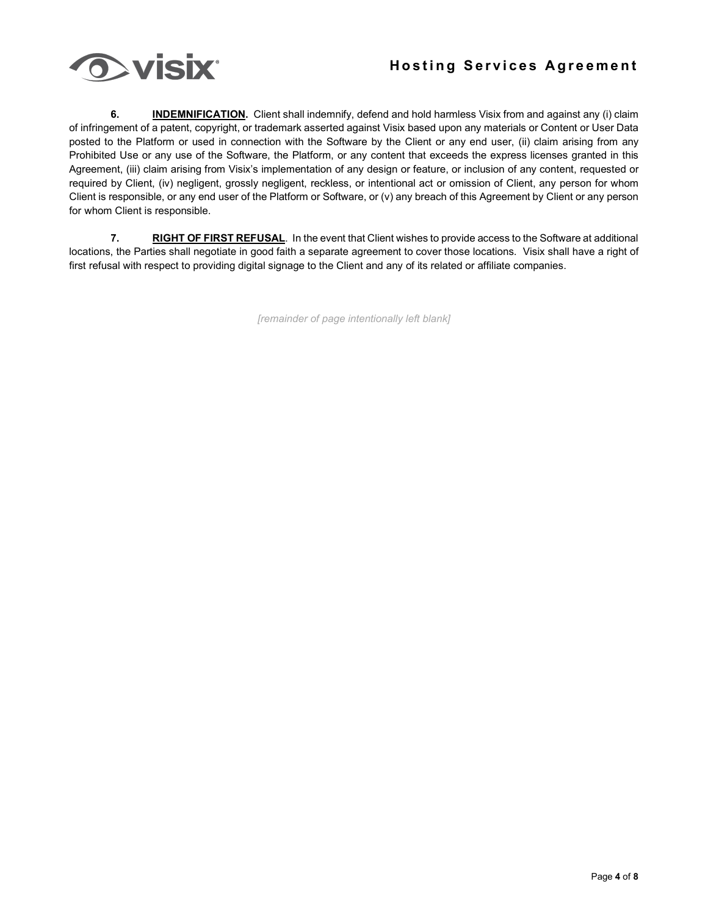

**6. INDEMNIFICATION.** Client shall indemnify, defend and hold harmless Visix from and against any (i) claim of infringement of a patent, copyright, or trademark asserted against Visix based upon any materials or Content or User Data posted to the Platform or used in connection with the Software by the Client or any end user, (ii) claim arising from any Prohibited Use or any use of the Software, the Platform, or any content that exceeds the express licenses granted in this Agreement, (iii) claim arising from Visix's implementation of any design or feature, or inclusion of any content, requested or required by Client, (iv) negligent, grossly negligent, reckless, or intentional act or omission of Client, any person for whom Client is responsible, or any end user of the Platform or Software, or (v) any breach of this Agreement by Client or any person for whom Client is responsible.

**7. RIGHT OF FIRST REFUSAL**. In the event that Client wishes to provide access to the Software at additional locations, the Parties shall negotiate in good faith a separate agreement to cover those locations. Visix shall have a right of first refusal with respect to providing digital signage to the Client and any of its related or affiliate companies.

*[remainder of page intentionally left blank]*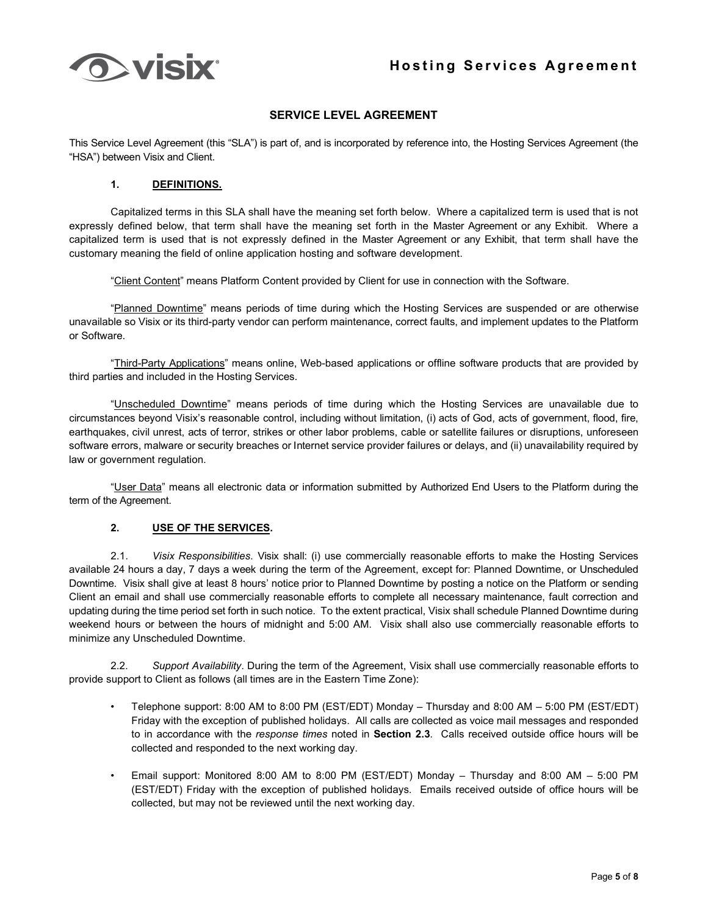

## **SERVICE LEVEL AGREEMENT**

This Service Level Agreement (this "SLA") is part of, and is incorporated by reference into, the Hosting Services Agreement (the "HSA") between Visix and Client.

### **1. DEFINITIONS.**

Capitalized terms in this SLA shall have the meaning set forth below. Where a capitalized term is used that is not expressly defined below, that term shall have the meaning set forth in the Master Agreement or any Exhibit. Where a capitalized term is used that is not expressly defined in the Master Agreement or any Exhibit, that term shall have the customary meaning the field of online application hosting and software development.

"Client Content" means Platform Content provided by Client for use in connection with the Software.

"Planned Downtime" means periods of time during which the Hosting Services are suspended or are otherwise unavailable so Visix or its third-party vendor can perform maintenance, correct faults, and implement updates to the Platform or Software.

"Third-Party Applications" means online, Web-based applications or offline software products that are provided by third parties and included in the Hosting Services.

"Unscheduled Downtime" means periods of time during which the Hosting Services are unavailable due to circumstances beyond Visix's reasonable control, including without limitation, (i) acts of God, acts of government, flood, fire, earthquakes, civil unrest, acts of terror, strikes or other labor problems, cable or satellite failures or disruptions, unforeseen software errors, malware or security breaches or Internet service provider failures or delays, and (ii) unavailability required by law or government regulation.

"User Data" means all electronic data or information submitted by Authorized End Users to the Platform during the term of the Agreement.

#### **2. USE OF THE SERVICES.**

2.1. *Visix Responsibilities*. Visix shall: (i) use commercially reasonable efforts to make the Hosting Services available 24 hours a day, 7 days a week during the term of the Agreement, except for: Planned Downtime, or Unscheduled Downtime. Visix shall give at least 8 hours' notice prior to Planned Downtime by posting a notice on the Platform or sending Client an email and shall use commercially reasonable efforts to complete all necessary maintenance, fault correction and updating during the time period set forth in such notice. To the extent practical, Visix shall schedule Planned Downtime during weekend hours or between the hours of midnight and 5:00 AM. Visix shall also use commercially reasonable efforts to minimize any Unscheduled Downtime.

2.2. *Support Availability*. During the term of the Agreement, Visix shall use commercially reasonable efforts to provide support to Client as follows (all times are in the Eastern Time Zone):

- Telephone support: 8:00 AM to 8:00 PM (EST/EDT) Monday Thursday and 8:00 AM 5:00 PM (EST/EDT) Friday with the exception of published holidays. All calls are collected as voice mail messages and responded to in accordance with the *response times* noted in **Section 2.3**. Calls received outside office hours will be collected and responded to the next working day.
- Email support: Monitored 8:00 AM to 8:00 PM (EST/EDT) Monday Thursday and 8:00 AM 5:00 PM (EST/EDT) Friday with the exception of published holidays. Emails received outside of office hours will be collected, but may not be reviewed until the next working day.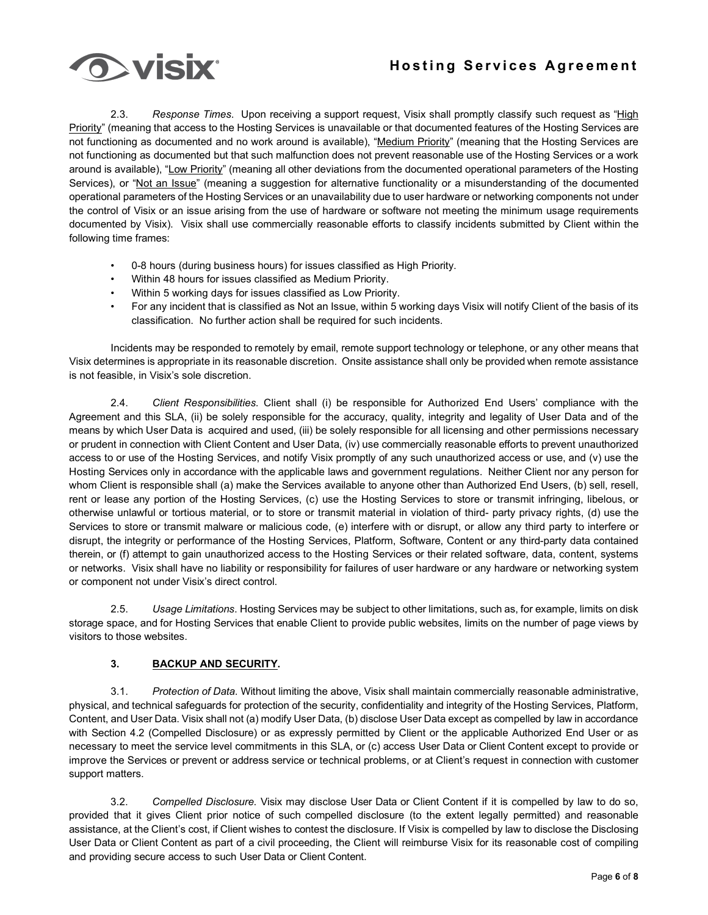

2.3. *Response Times*. Upon receiving a support request, Visix shall promptly classify such request as "High Priority" (meaning that access to the Hosting Services is unavailable or that documented features of the Hosting Services are not functioning as documented and no work around is available), "Medium Priority" (meaning that the Hosting Services are not functioning as documented but that such malfunction does not prevent reasonable use of the Hosting Services or a work around is available), "Low Priority" (meaning all other deviations from the documented operational parameters of the Hosting Services), or "Not an Issue" (meaning a suggestion for alternative functionality or a misunderstanding of the documented operational parameters of the Hosting Services or an unavailability due to user hardware or networking components not under the control of Visix or an issue arising from the use of hardware or software not meeting the minimum usage requirements documented by Visix). Visix shall use commercially reasonable efforts to classify incidents submitted by Client within the following time frames:

- 0-8 hours (during business hours) for issues classified as High Priority.
- Within 48 hours for issues classified as Medium Priority.
- Within 5 working days for issues classified as Low Priority.
- For any incident that is classified as Not an Issue, within 5 working days Visix will notify Client of the basis of its classification. No further action shall be required for such incidents.

Incidents may be responded to remotely by email, remote support technology or telephone, or any other means that Visix determines is appropriate in its reasonable discretion. Onsite assistance shall only be provided when remote assistance is not feasible, in Visix's sole discretion.

2.4. *Client Responsibilities*. Client shall (i) be responsible for Authorized End Users' compliance with the Agreement and this SLA, (ii) be solely responsible for the accuracy, quality, integrity and legality of User Data and of the means by which User Data is acquired and used, (iii) be solely responsible for all licensing and other permissions necessary or prudent in connection with Client Content and User Data, (iv) use commercially reasonable efforts to prevent unauthorized access to or use of the Hosting Services, and notify Visix promptly of any such unauthorized access or use, and (v) use the Hosting Services only in accordance with the applicable laws and government regulations. Neither Client nor any person for whom Client is responsible shall (a) make the Services available to anyone other than Authorized End Users, (b) sell, resell, rent or lease any portion of the Hosting Services, (c) use the Hosting Services to store or transmit infringing, libelous, or otherwise unlawful or tortious material, or to store or transmit material in violation of third- party privacy rights, (d) use the Services to store or transmit malware or malicious code, (e) interfere with or disrupt, or allow any third party to interfere or disrupt, the integrity or performance of the Hosting Services, Platform, Software, Content or any third-party data contained therein, or (f) attempt to gain unauthorized access to the Hosting Services or their related software, data, content, systems or networks. Visix shall have no liability or responsibility for failures of user hardware or any hardware or networking system or component not under Visix's direct control.

2.5. *Usage Limitations*. Hosting Services may be subject to other limitations, such as, for example, limits on disk storage space, and for Hosting Services that enable Client to provide public websites, limits on the number of page views by visitors to those websites.

## **3. BACKUP AND SECURITY.**

3.1. *Protection of Data*. Without limiting the above, Visix shall maintain commercially reasonable administrative, physical, and technical safeguards for protection of the security, confidentiality and integrity of the Hosting Services, Platform, Content, and User Data. Visix shall not (a) modify User Data, (b) disclose User Data except as compelled by law in accordance with Section 4.2 (Compelled Disclosure) or as expressly permitted by Client or the applicable Authorized End User or as necessary to meet the service level commitments in this SLA, or (c) access User Data or Client Content except to provide or improve the Services or prevent or address service or technical problems, or at Client's request in connection with customer support matters.

3.2. *Compelled Disclosure*. Visix may disclose User Data or Client Content if it is compelled by law to do so, provided that it gives Client prior notice of such compelled disclosure (to the extent legally permitted) and reasonable assistance, at the Client's cost, if Client wishes to contest the disclosure. If Visix is compelled by law to disclose the Disclosing User Data or Client Content as part of a civil proceeding, the Client will reimburse Visix for its reasonable cost of compiling and providing secure access to such User Data or Client Content.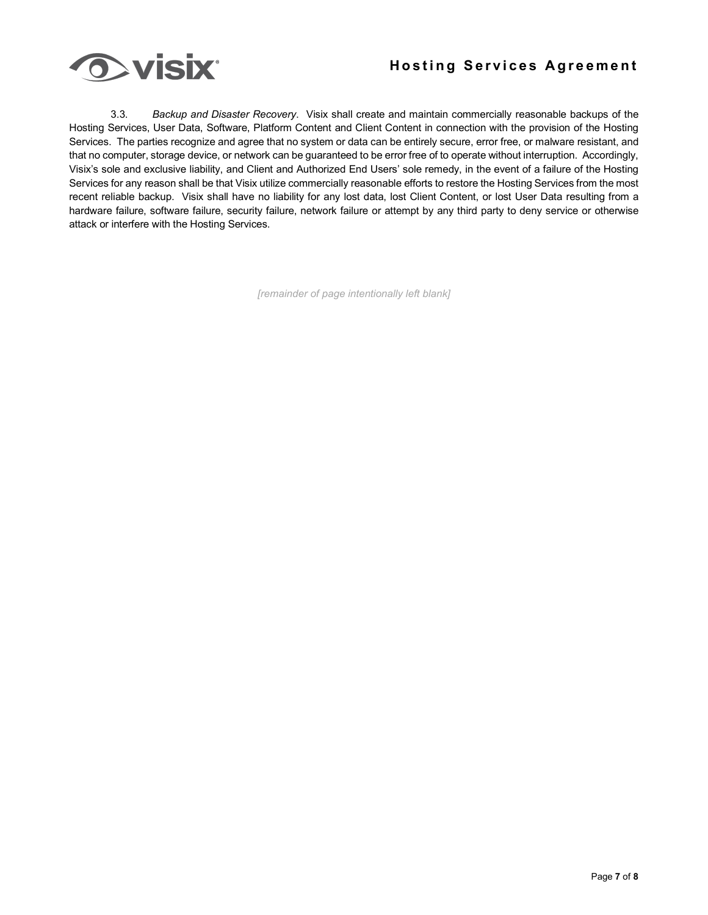

3.3. *Backup and Disaster Recovery*. Visix shall create and maintain commercially reasonable backups of the Hosting Services, User Data, Software, Platform Content and Client Content in connection with the provision of the Hosting Services. The parties recognize and agree that no system or data can be entirely secure, error free, or malware resistant, and that no computer, storage device, or network can be guaranteed to be error free of to operate without interruption. Accordingly, Visix's sole and exclusive liability, and Client and Authorized End Users' sole remedy, in the event of a failure of the Hosting Services for any reason shall be that Visix utilize commercially reasonable efforts to restore the Hosting Services from the most recent reliable backup. Visix shall have no liability for any lost data, lost Client Content, or lost User Data resulting from a hardware failure, software failure, security failure, network failure or attempt by any third party to deny service or otherwise attack or interfere with the Hosting Services.

*[remainder of page intentionally left blank]*